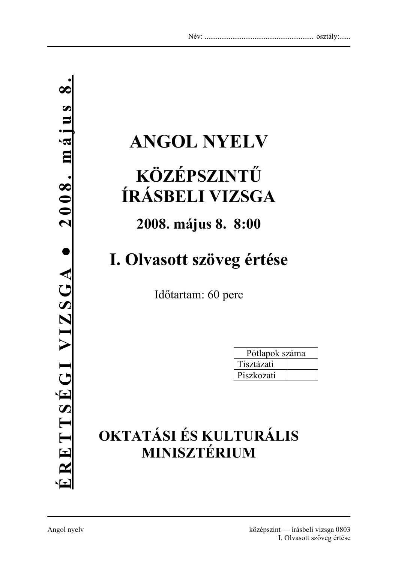# **ANGOL NYELV**

# **KÖZÉPSZINTŰ ÍRÁSBELI VIZSGA**

## **2008. május 8. 8:00**

## **I. Olvasott szöveg értése**

Időtartam: 60 perc

| Pótlapok száma |  |
|----------------|--|
| Tisztázati     |  |
| Piszkozati     |  |

## **OKTATÁSI ÉS KULTURÁLIS MINISZTÉRIUM**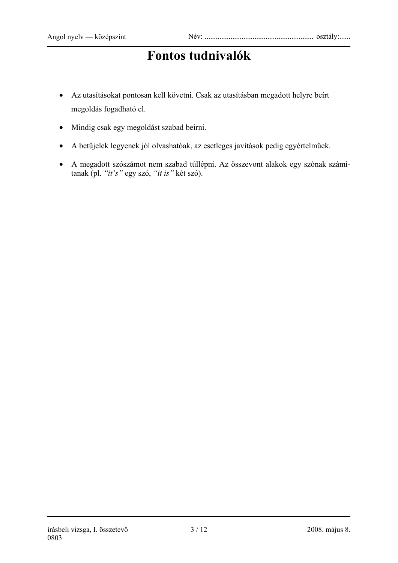## **Fontos tudnivalók**

- Az utasításokat pontosan kell követni. Csak az utasításban megadott helyre beírt megoldás fogadható el.
- Mindig csak egy megoldást szabad beírni.
- A betűjelek legyenek jól olvashatóak, az esetleges javítások pedig egyértelműek.
- A megadott szószámot nem szabad túllépni. Az összevont alakok egy szónak számítanak (pl. *"it's"* egy szó, *"it is"* két szó).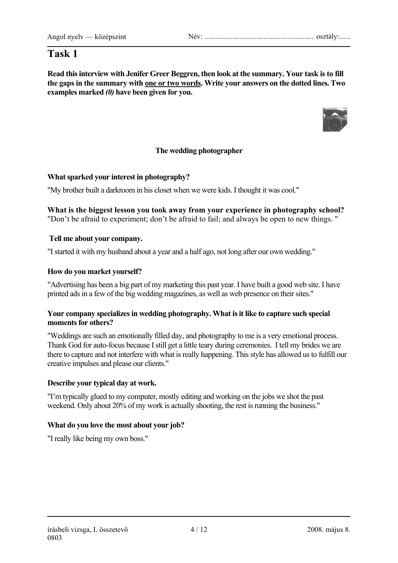## **Task 1**

**Read this interview with Jenifer Greer Beggren, then look at the summary. Your task is to fill the gaps in the summary with one or two words. Write your answers on the dotted lines. Two examples marked** *(0)* **have been given for you.** 



### **The wedding photographer**

### **What sparked your interest in photography?**

"My brother built a darkroom in his closet when we were kids. I thought it was cool."

**What is the biggest lesson you took away from your experience in photography school?** "Don't be afraid to experiment; don't be afraid to fail; and always be open to new things. "

### **Tell me about your company.**

"I started it with my husband about a year and a half ago, not long after our own wedding."

#### **How do you market yourself?**

"Advertising has been a big part of my marketing this past year. I have built a good web site. I have printed ads in a few of the big wedding magazines, as well as web presence on their sites."

#### **Your company specializes in wedding photography. What is it like to capture such special moments for others?**

"Weddings are such an emotionally filled day, and photography to me is a very emotional process. Thank God for auto-focus because I still get a little teary during ceremonies. I tell my brides we are there to capture and not interfere with what is really happening. This style has allowed us to fulfill our creative impulses and please our clients."

### **Describe your typical day at work.**

"I'm typically glued to my computer, mostly editing and working on the jobs we shot the past weekend. Only about 20% of my work is actually shooting, the rest is running the business."

### **What do you love the most about your job?**

"I really like being my own boss."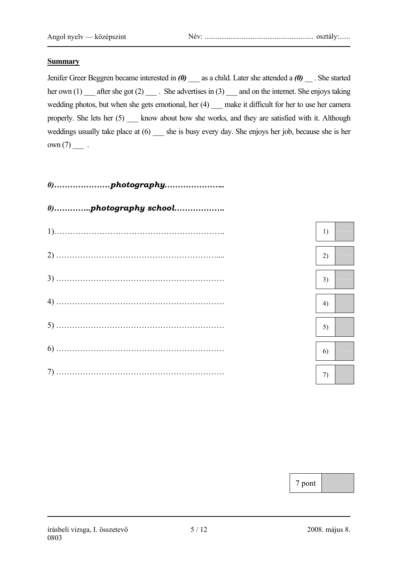#### **Summary**

Jenifer Greer Beggren became interested in *(0)* \_\_\_ as a child. Later she attended a *(0)* \_\_ . She started her own (1) \_\_\_ after she got (2) \_\_\_\_ . She advertises in (3) \_\_\_ and on the internet. She enjoys taking wedding photos, but when she gets emotional, her (4) \_\_ make it difficult for her to use her camera properly. She lets her (5) \_\_\_ know about how she works, and they are satisfied with it. Although weddings usually take place at  $(6)$  \_\_\_ she is busy every day. She enjoys her job, because she is her  $own(7)$  .



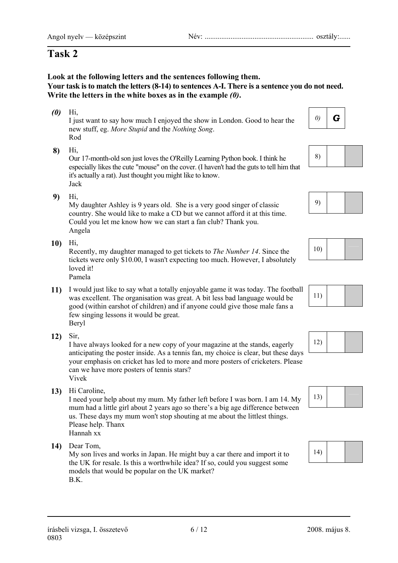### Angol nyelv — középszint Név: ........................................................... osztály:......

## **Task 2**

**Look at the following letters and the sentences following them. Your task is to match the letters (8-14) to sentences A-I. There is a sentence you do not need. Write the letters in the white boxes as in the example** *(0)***.** 

- (0) Hi,<br>I just want to say how much I enjoyed the show in London. Good to hear the  $\begin{vmatrix} 0 \end{vmatrix}$  **G** new stuff, eg. *More Stupid* and the *Nothing Song*. Rod
- 

8) Hi,<br>
Our 17-month-old son just loves the O'Reilly Learning Python book. I think he especially likes the cute "mouse" on the cover. (I haven't had the guts to tell him that it's actually a rat). Just thought you might like to know. Jack

9) Hi,<br>
My daughter Ashley is 9 years old. She is a very good singer of classic 9) country. She would like to make a CD but we cannot afford it at this time. Could you let me know how we can start a fan club? Thank you. Angela

10) Hi,<br>Recently, my daughter managed to get tickets to *The Number 14*. Since the 10) tickets were only \$10.00, I wasn't expecting too much. However, I absolutely loved it! Pamela

- 11) I would just like to say what a totally enjoyable game it was today. The football was excellent. The organisation was great. A bit less had language would be was excellent. The organisation was great. A bit less bad language would be good (within earshot of children) and if anyone could give those male fans a few singing lessons it would be great. Beryl
- 

12) Sir,<br>I have always looked for a new copy of your magazine at the stands, eagerly 12) anticipating the poster inside. As a tennis fan, my choice is clear, but these days your emphasis on cricket has led to more and more posters of cricketers. Please can we have more posters of tennis stars? Vivek

13) Hi Caroline,<br>I need your help about my mum. My father left before I was born. I am 14. My <sup>13</sup> mum had a little girl about 2 years ago so there's a big age difference between us. These days my mum won't stop shouting at me about the littlest things. Please help. Thanx Hannah xx

14) Dear Tom,<br>
My son lives and works in Japan. He might buy a car there and import it to <sup>14)</sup> the UK for resale. Is this a worthwhile idea? If so, could you suggest some models that would be popular on the UK market? B.K.







| 10) |  |  |
|-----|--|--|
|-----|--|--|







| 14) |  |  |
|-----|--|--|
|-----|--|--|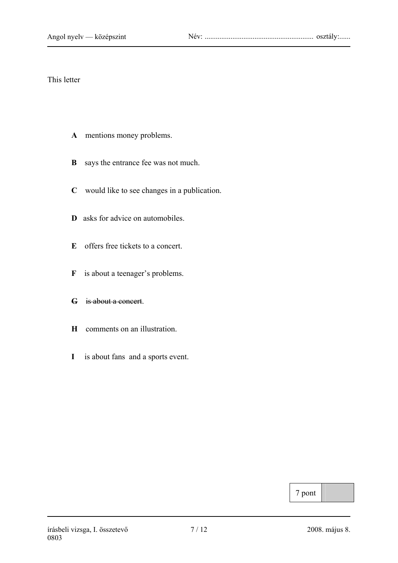### This letter

- **A** mentions money problems.
- **B** says the entrance fee was not much.
- **C** would like to see changes in a publication.
- **D** asks for advice on automobiles.
- **E** offers free tickets to a concert.
- **F** is about a teenager's problems.
- **G** is about a concert.
- **H** comments on an illustration.
- **I** is about fans and a sports event.

7 pont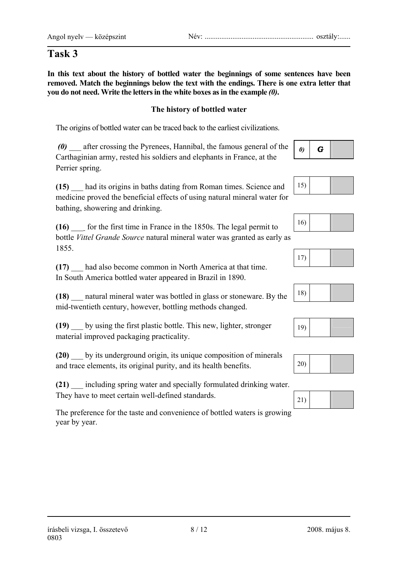## **Task 3**

**In this text about the history of bottled water the beginnings of some sentences have been removed. Match the beginnings below the text with the endings. There is one extra letter that you do not need. Write the letters in the white boxes as in the example** *(0)***.** 

## **The history of bottled water**

The origins of bottled water can be traced back to the earliest civilizations.

*(0)* \_\_\_ after crossing the Pyrenees, Hannibal, the famous general of the Carthaginian army, rested his soldiers and elephants in France, at the Perrier spring.

**(15)** \_\_\_ had its origins in baths dating from Roman times. Science and medicine proved the beneficial effects of using natural mineral water for bathing, showering and drinking.

**(16)** \_\_\_ for the first time in France in the 1850s. The legal permit to bottle *Vittel Grande Source* natural mineral water was granted as early as 1855.

**(17)** \_\_\_ had also become common in North America at that time. In South America bottled water appeared in Brazil in 1890.

**(18)** \_\_\_ natural mineral water was bottled in glass or stoneware. By the mid-twentieth century, however, bottling methods changed.

**(19)** \_\_\_ by using the first plastic bottle. This new, lighter, stronger material improved packaging practicality.

**(20)** \_\_\_ by its underground origin, its unique composition of minerals and trace elements, its original purity, and its health benefits.

**(21)** \_\_\_ including spring water and specially formulated drinking water. They have to meet certain well-defined standards.

The preference for the taste and convenience of bottled waters is growing year by year.





| 16) |  |  |
|-----|--|--|
|-----|--|--|





|--|--|



| 21) |  |
|-----|--|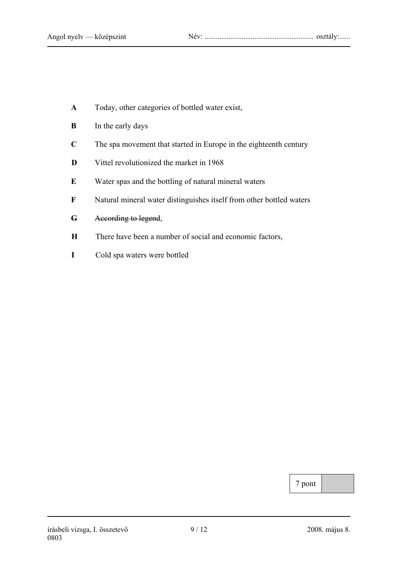- **A** Today, other categories of bottled water exist,
- **B** In the early days
- **C** The spa movement that started in Europe in the eighteenth century
- **D** Vittel revolutionized the market in 1968
- **E** Water spas and the bottling of natural mineral waters
- **F** Natural mineral water distinguishes itself from other bottled waters

### **G** According to legend,

- **H** There have been a number of social and economic factors,
- **I** Cold spa waters were bottled

7 pont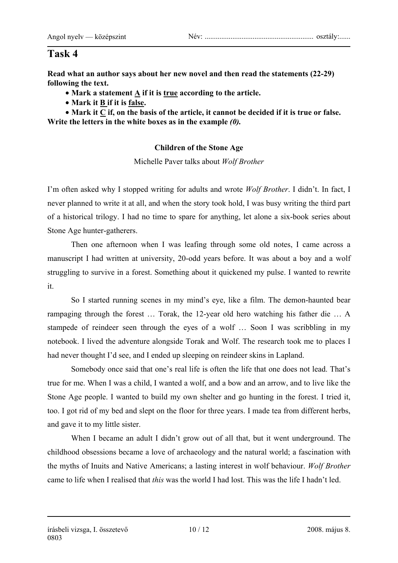#### Angol nyelv — középszint Név: ........................................................... osztály:......

## **Task 4**

**Read what an author says about her new novel and then read the statements (22-29) following the text.** 

- **Mark a statement A if it is true according to the article.**
- **Mark it B if it is false.**

• Mark it C if, on the basis of the article, it cannot be decided if it is true or false. **Write the letters in the white boxes as in the example** *(0).*

## **Children of the Stone Age**

Michelle Paver talks about *Wolf Brother* 

I'm often asked why I stopped writing for adults and wrote *Wolf Brother*. I didn't. In fact, I never planned to write it at all, and when the story took hold, I was busy writing the third part of a historical trilogy. I had no time to spare for anything, let alone a six-book series about Stone Age hunter-gatherers.

Then one afternoon when I was leafing through some old notes, I came across a manuscript I had written at university, 20-odd years before. It was about a boy and a wolf struggling to survive in a forest. Something about it quickened my pulse. I wanted to rewrite it.

So I started running scenes in my mind's eye, like a film. The demon-haunted bear rampaging through the forest … Torak, the 12-year old hero watching his father die … A stampede of reindeer seen through the eyes of a wolf … Soon I was scribbling in my notebook. I lived the adventure alongside Torak and Wolf. The research took me to places I had never thought I'd see, and I ended up sleeping on reindeer skins in Lapland.

Somebody once said that one's real life is often the life that one does not lead. That's true for me. When I was a child, I wanted a wolf, and a bow and an arrow, and to live like the Stone Age people. I wanted to build my own shelter and go hunting in the forest. I tried it, too. I got rid of my bed and slept on the floor for three years. I made tea from different herbs, and gave it to my little sister.

When I became an adult I didn't grow out of all that, but it went underground. The childhood obsessions became a love of archaeology and the natural world; a fascination with the myths of Inuits and Native Americans; a lasting interest in wolf behaviour. *Wolf Brother*  came to life when I realised that *this* was the world I had lost. This was the life I hadn't led.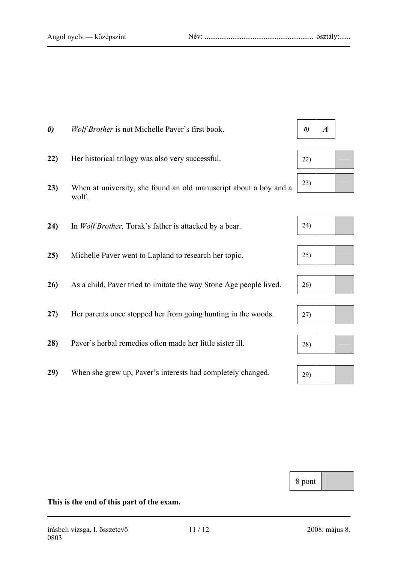0803

**This is the end of this part of the exam.**



**29)** When she grew up, Paver's interests had completely changed.

















8 pont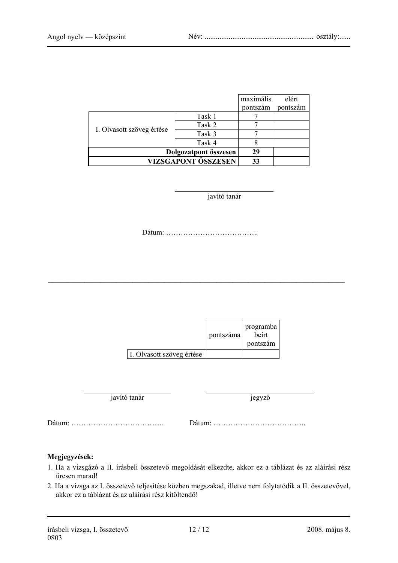|                            |        | maximális | elért    |
|----------------------------|--------|-----------|----------|
|                            |        | pontszám  | pontszám |
|                            | Task 1 |           |          |
| I. Olvasott szöveg értése  | Task 2 |           |          |
|                            | Task 3 |           |          |
|                            | Task 4 |           |          |
| Dolgozatpont összesen      |        | 29        |          |
| <b>VIZSGAPONT ÖSSZESEN</b> |        | 33        |          |

javító tanár

Dátum: ………………………………..

 $\_$  , and the contribution of the contribution of  $\mathcal{L}_\mathcal{A}$  , and the contribution of  $\mathcal{L}_\mathcal{A}$ 

|                           | pontszáma | programba<br>beirt<br>pontszám |  |
|---------------------------|-----------|--------------------------------|--|
| I. Olvasott szöveg értése |           |                                |  |

javító tanár jegyző

Dátum: ……………………………….. Dátum: ………………………………..

#### **Megjegyzések:**

- 1. Ha a vizsgázó a II. írásbeli összetevő megoldását elkezdte, akkor ez a táblázat és az aláírási rész üresen marad!
- 2. Ha a vizsga az I. összetevő teljesítése közben megszakad, illetve nem folytatódik a II. összetevővel, akkor ez a táblázat és az aláírási rész kitöltendő!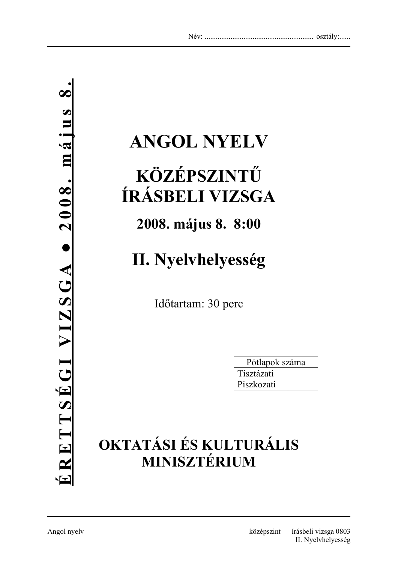# **ANGOL NYELV**

# **KÖZÉPSZINTŰ ÍRÁSBELI VIZSGA**

## **2008. május 8. 8:00**

# **II. Nyelvhelyesség**

Időtartam: 30 perc

| Pótlapok száma |  |
|----------------|--|
| Tisztázati     |  |
| Piszkozati     |  |

## **OKTATÁSI ÉS KULTURÁLIS MINISZTÉRIUM**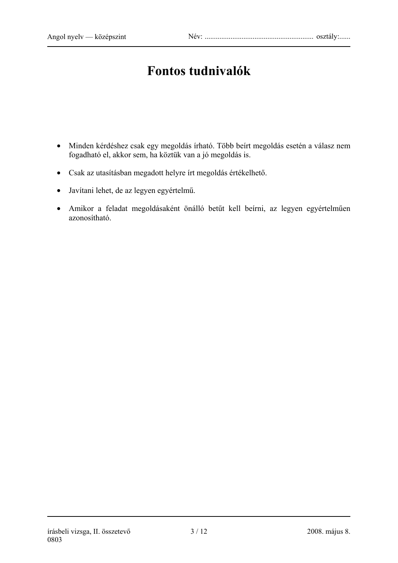## **Fontos tudnivalók**

- Minden kérdéshez csak egy megoldás írható. Több beírt megoldás esetén a válasz nem fogadható el, akkor sem, ha köztük van a jó megoldás is.
- Csak az utasításban megadott helyre írt megoldás értékelhető.
- Javítani lehet, de az legyen egyértelmű.
- Amikor a feladat megoldásaként önálló betűt kell beírni, az legyen egyértelműen azonosítható.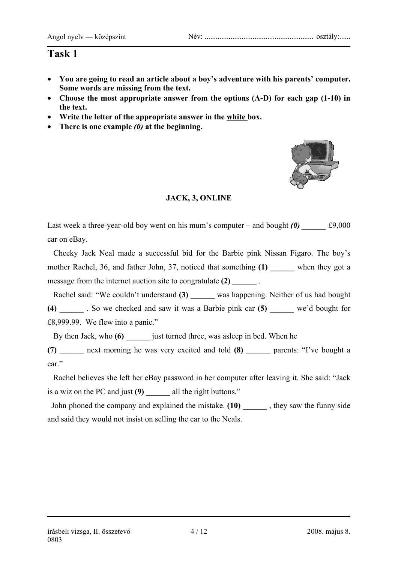## **Task 1**

- **You are going to read an article about a boy's adventure with his parents' computer. Some words are missing from the text.**
- **Choose the most appropriate answer from the options (A-D) for each gap (1-10) in the text.**
- **Write the letter of the appropriate answer in the white box.**
- **There is one example** *(0)* **at the beginning.**



## **JACK, 3, ONLINE**

Last week a three-year-old boy went on his mum's computer – and bought  $(0)$   $\qquad \qquad \text{\pounds}9,000$ car on eBay.

 Cheeky Jack Neal made a successful bid for the Barbie pink Nissan Figaro. The boy's mother Rachel, 36, and father John, 37, noticed that something (1) when they got a message from the internet auction site to congratulate (2)  $\qquad \qquad$ 

 Rachel said: "We couldn't understand **(3) \_\_\_\_\_\_** was happening. Neither of us had bought **(4) \_\_\_\_\_\_** . So we checked and saw it was a Barbie pink car **(5) \_\_\_\_\_\_** we'd bought for £8,999.99. We flew into a panic."

By then Jack, who **(6)** just turned three, was asleep in bed. When he

**(7) \_\_\_\_\_\_** next morning he was very excited and told **(8) \_\_\_\_\_\_** parents: "I've bought a car."

 Rachel believes she left her eBay password in her computer after leaving it. She said: "Jack is a wiz on the PC and just **(9) \_\_\_\_\_\_** all the right buttons."

 John phoned the company and explained the mistake. **(10) \_\_\_\_\_\_** , they saw the funny side and said they would not insist on selling the car to the Neals.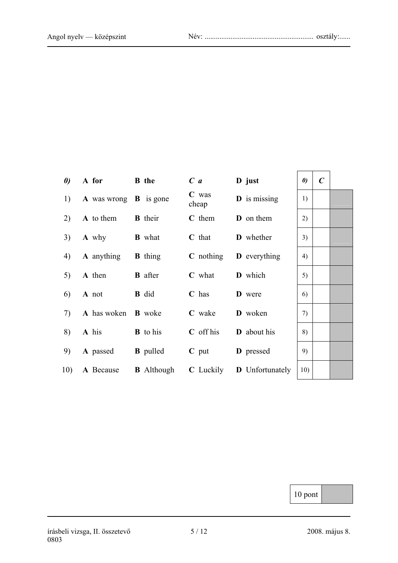| $\boldsymbol{\theta}$ | A for B the                      |                                 | $C$ a            | D just                                                                  | $\boldsymbol{\theta}$ | $\boldsymbol{C}$ |  |
|-----------------------|----------------------------------|---------------------------------|------------------|-------------------------------------------------------------------------|-----------------------|------------------|--|
| 1)                    | A was wrong <b>B</b> is gone     |                                 | $C$ was<br>cheap | <b>D</b> is missing                                                     | 1)                    |                  |  |
| 2)                    | <b>A</b> to them <b>B</b> their  |                                 | C them           | <b>D</b> on them                                                        | 2)                    |                  |  |
| 3)                    | <b>A</b> why                     | <b>B</b> what                   | $C$ that         | <b>D</b> whether                                                        | 3)                    |                  |  |
| 4)                    | <b>A</b> anything <b>B</b> thing |                                 |                  | $C$ nothing $D$ everything                                              | 4)                    |                  |  |
| 5)                    | <b>A</b> then <b>B</b> after     |                                 | $C$ what         | <b>D</b> which                                                          | 5)                    |                  |  |
| 6)                    | A not                            | $\mathbf{B}$ did                | $C$ has          | <b>D</b> were                                                           | 6)                    |                  |  |
| (7)                   | A has woken <b>B</b> woke        |                                 | C wake           | D woken                                                                 | 7)                    |                  |  |
| 8)                    | A his                            | <b>B</b> to his                 | $C$ off his      | D about his                                                             | 8)                    |                  |  |
| 9)                    |                                  | <b>A</b> passed <b>B</b> pulled | $C$ put          | <b>D</b> pressed                                                        | 9)                    |                  |  |
|                       |                                  |                                 |                  | 10) A Because <b>B</b> Although <b>C</b> Luckily <b>D</b> Unfortunately | 10)                   |                  |  |

10 pont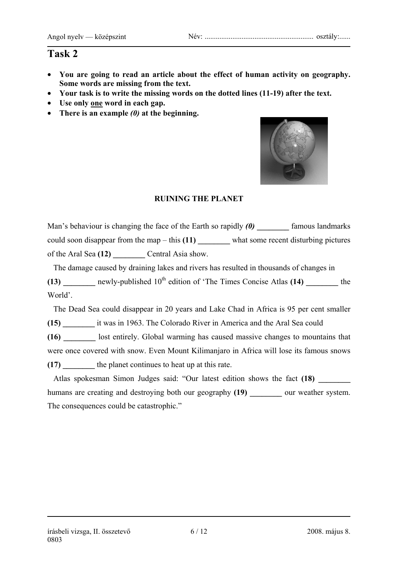## **Task 2**

- **You are going to read an article about the effect of human activity on geography. Some words are missing from the text.**
- **Your task is to write the missing words on the dotted lines (11-19) after the text.**
- **Use only one word in each gap.**
- **There is an example** *(0)* **at the beginning.**



### **RUINING THE PLANET**

Man's behaviour is changing the face of the Earth so rapidly **(0)** famous landmarks could soon disappear from the map – this **(11)** what some recent disturbing pictures of the Aral Sea **(12) \_\_\_\_\_\_\_\_** Central Asia show.

 The damage caused by draining lakes and rivers has resulted in thousands of changes in **(13)** newly-published 10<sup>th</sup> edition of 'The Times Concise Atlas **(14)** the World'.

 The Dead Sea could disappear in 20 years and Lake Chad in Africa is 95 per cent smaller **(15) \_\_\_\_\_\_\_\_** it was in 1963. The Colorado River in America and the Aral Sea could

**(16) \_\_\_\_\_\_\_\_** lost entirely. Global warming has caused massive changes to mountains that were once covered with snow. Even Mount Kilimanjaro in Africa will lose its famous snows **(17) \_\_\_\_\_\_\_\_** the planet continues to heat up at this rate.

 Atlas spokesman Simon Judges said: "Our latest edition shows the fact **(18) \_\_\_\_\_\_\_\_** humans are creating and destroying both our geography **(19) \_\_\_\_\_\_\_\_** our weather system. The consequences could be catastrophic."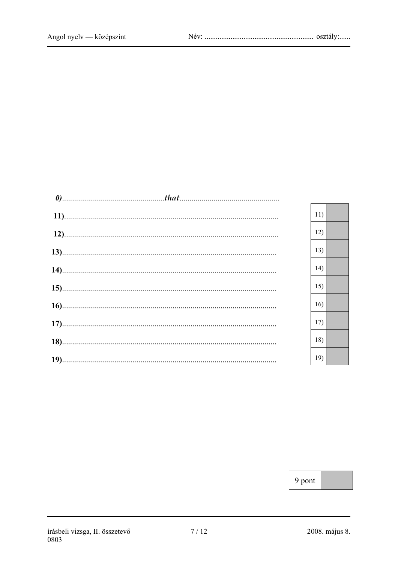|  | 11) |  |
|--|-----|--|
|  | 12) |  |
|  | 13) |  |
|  | 14) |  |
|  | 15) |  |
|  | 16) |  |
|  | 17) |  |
|  | 18) |  |
|  | 19) |  |
|  |     |  |

9 pont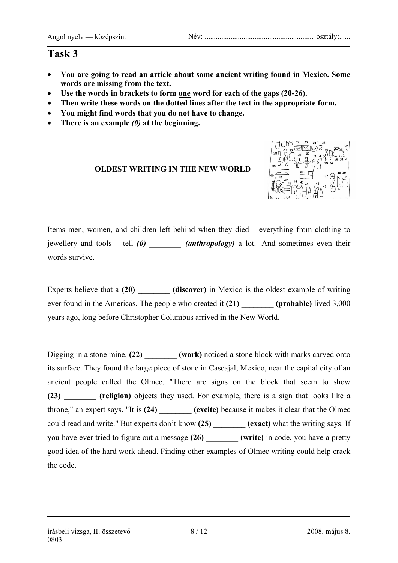#### Angol nyelv — középszint Név: ........................................................... osztály:......

## **Task 3**

- **You are going to read an article about some ancient writing found in Mexico. Some words are missing from the text.**
- **Use the words in brackets to form one word for each of the gaps (20-26).**
- **Then write these words on the dotted lines after the text in the appropriate form.**
- **You might find words that you do not have to change.**
- **There is an example** *(0)* **at the beginning.**

## **OLDEST WRITING IN THE NEW WORLD**



Items men, women, and children left behind when they died – everything from clothing to jewellery and tools – tell *(0) \_\_\_\_\_\_\_\_ (anthropology)* a lot. And sometimes even their words survive.

Experts believe that a (20) **(discover)** in Mexico is the oldest example of writing ever found in the Americas. The people who created it (21) (probable) lived 3,000 years ago, long before Christopher Columbus arrived in the New World.

Digging in a stone mine, **(22)** \_\_\_\_\_\_\_ (work) noticed a stone block with marks carved onto its surface. They found the large piece of stone in Cascajal, Mexico, near the capital city of an ancient people called the Olmec. "There are signs on the block that seem to show **(23) \_\_\_\_\_\_\_\_ (religion)** objects they used. For example, there is a sign that looks like a throne," an expert says. "It is (24) **(excite)** because it makes it clear that the Olmec could read and write." But experts don't know **(25) \_\_\_\_\_\_\_\_ (exact)** what the writing says. If you have ever tried to figure out a message **(26) \_\_\_\_\_\_\_\_ (write)** in code, you have a pretty good idea of the hard work ahead. Finding other examples of Olmec writing could help crack the code.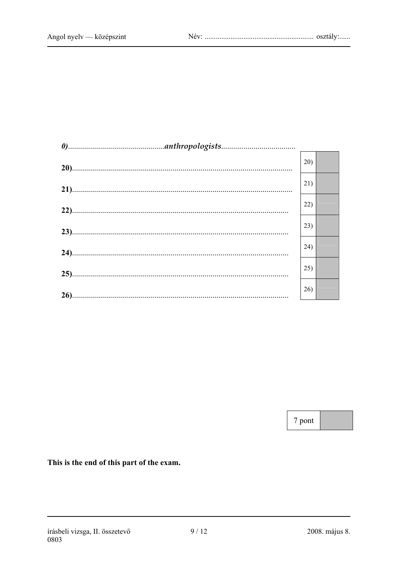| 20) |  |
|-----|--|
| 21) |  |
| 22) |  |
| 23) |  |
| 24) |  |
| 25) |  |
| 26) |  |
|     |  |

7 pont

This is the end of this part of the exam.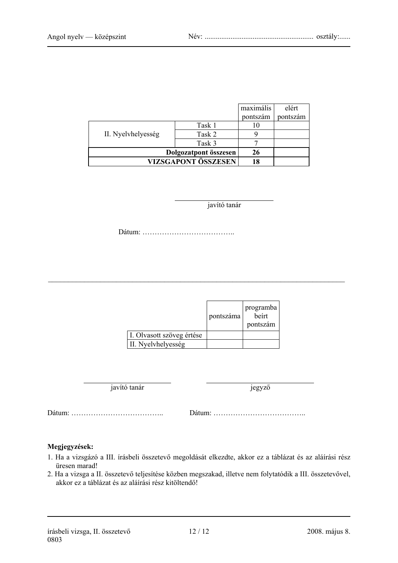|                       |        | maximális | elért    |
|-----------------------|--------|-----------|----------|
|                       |        | pontszám  | pontszám |
| II. Nyelvhelyesség    | Task 1 |           |          |
|                       | Task 2 |           |          |
|                       | Task 3 |           |          |
| Dolgozatpont összesen |        | 26        |          |
| VIZSGAPONT ÖSSZESEN   |        | 18        |          |

javító tanár

Dátum: ………………………………..

|                           | pontszáma | programba<br>beirt<br>pontszám |
|---------------------------|-----------|--------------------------------|
| I. Olvasott szöveg értése |           |                                |
| II. Nyelvhelyesség        |           |                                |

 $\mathcal{L}_\text{max} = \frac{1}{2} \sum_{i=1}^n \mathcal{L}_\text{max}(\mathbf{z}_i - \mathbf{z}_i)$ 

javító tanár jegyző

Dátum: ……………………………….. Dátum: ………………………………..

#### **Megjegyzések:**

- 1. Ha a vizsgázó a III. írásbeli összetevő megoldását elkezdte, akkor ez a táblázat és az aláírási rész üresen marad!
- 2. Ha a vizsga a II. összetevő teljesítése közben megszakad, illetve nem folytatódik a III. összetevővel, akkor ez a táblázat és az aláírási rész kitöltendő!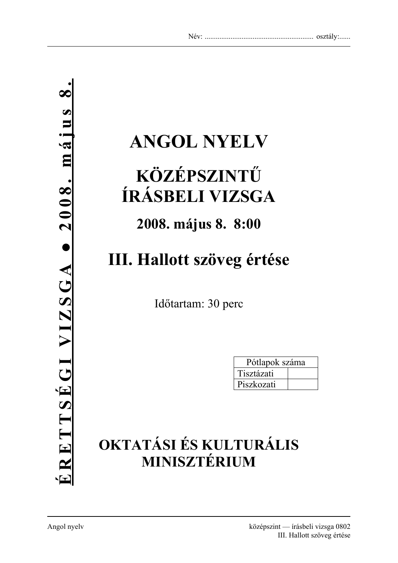# **ANGOL NYELV**

# **KÖZÉPSZINTŰ ÍRÁSBELI VIZSGA**

## **2008. május 8. 8:00**

# **III. Hallott szöveg értése**

Időtartam: 30 perc

| Pótlapok száma |  |
|----------------|--|
| Tisztázati     |  |
| Piszkozati     |  |

## **OKTATÁSI ÉS KULTURÁLIS MINISZTÉRIUM**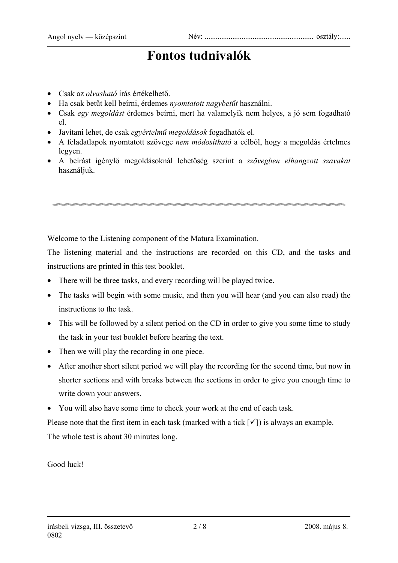## **Fontos tudnivalók**

- Csak az *olvasható* írás értékelhető.
- Ha csak betűt kell beírni, érdemes *nyomtatott nagybetűt* használni.
- Csak *egy megoldást* érdemes beírni, mert ha valamelyik nem helyes, a jó sem fogadható el.
- Javítani lehet, de csak *egyértelmű megoldások* fogadhatók el.
- A feladatlapok nyomtatott szövege *nem módosítható* a célból, hogy a megoldás értelmes legyen.
- A beírást igénylő megoldásoknál lehetőség szerint a *szövegben elhangzott szavakat* használjuk.

Welcome to the Listening component of the Matura Examination.

The listening material and the instructions are recorded on this CD, and the tasks and instructions are printed in this test booklet.

- There will be three tasks, and every recording will be played twice.
- The tasks will begin with some music, and then you will hear (and you can also read) the instructions to the task.
- This will be followed by a silent period on the CD in order to give you some time to study the task in your test booklet before hearing the text.
- Then we will play the recording in one piece.
- After another short silent period we will play the recording for the second time, but now in shorter sections and with breaks between the sections in order to give you enough time to write down your answers.
- You will also have some time to check your work at the end of each task.

Please note that the first item in each task (marked with a tick  $\lceil \checkmark \rceil$ ) is always an example. The whole test is about 30 minutes long.

Good luck!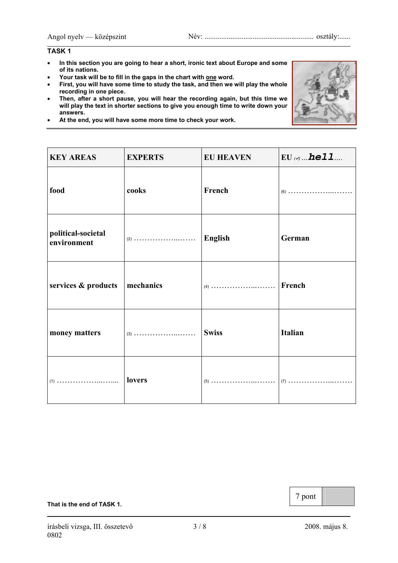#### **TASK 1**

- **In this section you are going to hear a short, ironic text about Europe and some of its nations.**
- **Your task will be to fill in the gaps in the chart with one word.**
- **First, you will have some time to study the task, and then we will play the whole recording in one piece.**
- **Then, after a short pause, you will hear the recording again, but this time we will play the text in shorter sections to give you enough time to write down your answers.**
- **At the end, you will have some more time to check your work.**



#### **That is the end of TASK 1.**

7 pont

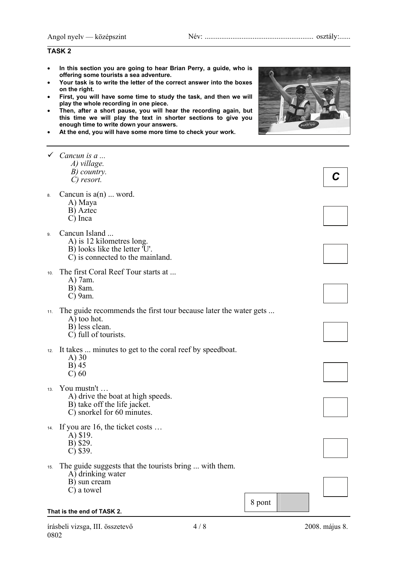### **TASK 2**

- **In this section you are going to hear Brian Perry, a guide, who is offering some tourists a sea adventure.**
- **Your task is to write the letter of the correct answer into the boxes on the right.**
- **First, you will have some time to study the task, and then we will play the whole recording in one piece.**
- **Then, after a short pause, you will hear the recording again, but this time we will play the text in shorter sections to give you enough time to write down your answers.**
- **At the end, you will have some more time to check your work.**



|     | Cancun is a<br>A) village.<br>B) country.<br>C) resort.                                                                   |        |  |
|-----|---------------------------------------------------------------------------------------------------------------------------|--------|--|
| 8.  | Cancun is $a(n)$ word.<br>A) Maya<br>B) Aztec<br>C) Inca                                                                  |        |  |
| 9.  | Cancun Island<br>A) is 12 kilometres long.<br>B) looks like the letter 'U'.<br>C) is connected to the mainland.           |        |  |
| 10. | The first Coral Reef Tour starts at<br>A) 7am.<br>B) 8am.<br>$C$ ) 9am.                                                   |        |  |
| 11. | The guide recommends the first tour because later the water gets<br>A) too hot.<br>B) less clean.<br>C) full of tourists. |        |  |
| 12. | It takes  minutes to get to the coral reef by speedboat.<br>$(A)$ 30<br>B) 45<br>$\mathcal{C}$ ) 60                       |        |  |
| 13. | You mustn't<br>A) drive the boat at high speeds.<br>B) take off the life jacket.<br>C) snorkel for 60 minutes.            |        |  |
| 14. | If you are 16, the ticket costs<br>A) \$19.<br>B) \$29.<br>$C)$ \$39.                                                     |        |  |
| 15. | The guide suggests that the tourists bring  with them.<br>A) drinking water<br>B) sun cream<br>C) a towel                 |        |  |
|     | That is the end of TASK 2.                                                                                                | 8 pont |  |

írásbeli vizsga, III. összetevő 4 / 8 2008. május 8. 0802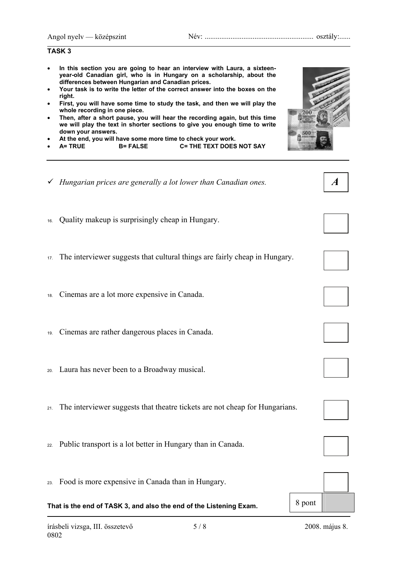**TASK 3** 

### • **In this section you are going to hear an interview with Laura, a sixteenyear-old Canadian girl, who is in Hungary on a scholarship, about the differences between Hungarian and Canadian prices.**  • **Your task is to write the letter of the correct answer into the boxes on the right.**  • **First, you will have some time to study the task, and then we will play the whole recording in one piece.**  • **Then, after a short pause, you will hear the recording again, but this time we will play the text in shorter sections to give you enough time to write down your answers.**  • **At the end, you will have some more time to check your work.**  • **A= TRUE B= FALSE C= THE TEXT DOES NOT SAY**

- 9 *Hungarian prices are generally a lot lower than Canadian ones.*
- 16. Quality makeup is surprisingly cheap in Hungary.
- 17. The interviewer suggests that cultural things are fairly cheap in Hungary.
- 18. Cinemas are a lot more expensive in Canada.
- 19. Cinemas are rather dangerous places in Canada.
- 20. Laura has never been to a Broadway musical.
- 21. The interviewer suggests that theatre tickets are not cheap for Hungarians.
- 22. Public transport is a lot better in Hungary than in Canada.
- 23. Food is more expensive in Canada than in Hungary.

## **That is the end of TASK 3, and also the end of the Listening Exam.** 8 pont



*A* 









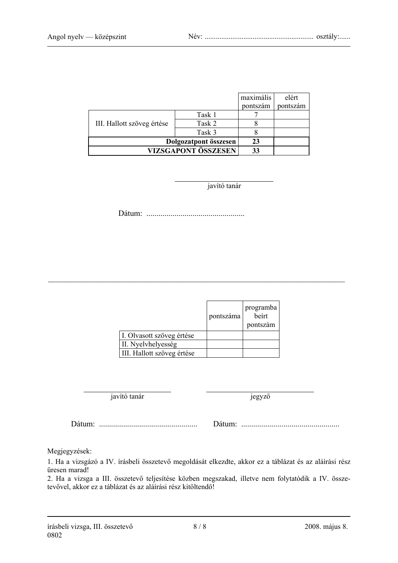|                            |        | maximális | elért    |
|----------------------------|--------|-----------|----------|
|                            |        | pontszám  | pontszám |
| III. Hallott szöveg értése | Task 1 |           |          |
|                            | Task 2 |           |          |
|                            | Task 3 |           |          |
| Dolgozatpont összesen      |        | 23        |          |
| <b>VIZSGAPONT ÖSSZESEN</b> |        | 33        |          |

javító tanár

Dátum: .................................................

|                            | pontszáma | programba<br>beirt<br>pontszám |
|----------------------------|-----------|--------------------------------|
| I. Olvasott szöveg értése  |           |                                |
| II. Nyelvhelyesség         |           |                                |
| III. Hallott szöveg értése |           |                                |

 $\_$  , and the contribution of the contribution of  $\mathcal{L}_\mathcal{A}$  , and the contribution of  $\mathcal{L}_\mathcal{A}$ 

javító tanár jegyző

Dátum: ................................................. Dátum: .................................................

Megjegyzések:

1. Ha a vizsgázó a IV. írásbeli összetevő megoldását elkezdte, akkor ez a táblázat és az aláírási rész üresen marad!

2. Ha a vizsga a III. összetevő teljesítése közben megszakad, illetve nem folytatódik a IV. összetevővel, akkor ez a táblázat és az aláírási rész kitöltendő!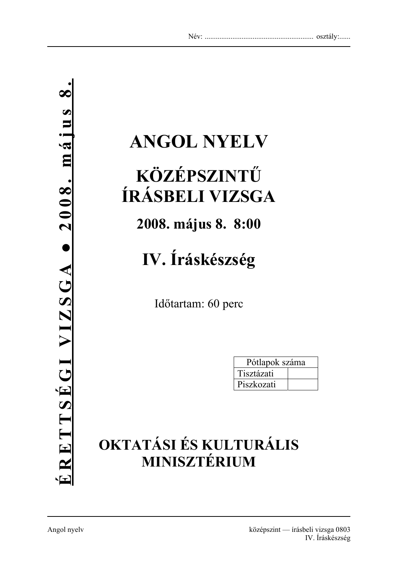# **ANGOL NYELV**

# **KÖZÉPSZINTŰ ÍRÁSBELI VIZSGA**

**2008. május 8. 8:00** 

**IV. Íráskészség** 

Időtartam: 60 perc

| Pótlapok száma |  |
|----------------|--|
| Tisztázati     |  |
| Piszkozati     |  |

## **OKTATÁSI ÉS KULTURÁLIS MINISZTÉRIUM**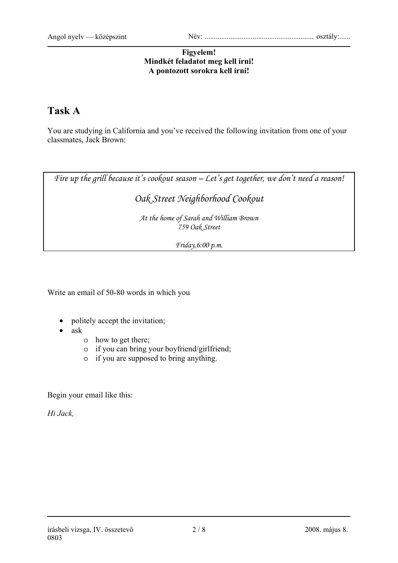### **Figyelem! Mindkét feladatot meg kell írni! A pontozott sorokra kell írni!**

## **Task A**

You are studying in California and you've received the following invitation from one of your classmates, Jack Brown:

*Fire up the grill because it's cookout season – Let's get together, we don't need a reason!* 

## *Oak Street Neighborhood Cookout*

*At the home of Sarah and William Brown 759 Oak Street* 

*Friday,6:00 p.m.* 

Write an email of 50-80 words in which you

- politely accept the invitation;
- ask
	- o how to get there;
	- o if you can bring your boyfriend/girlfriend;
	- o if you are supposed to bring anything.

Begin your email like this:

*Hi Jack,*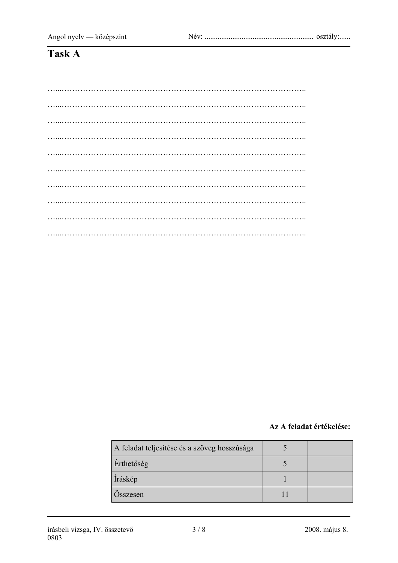## Task A

### Az A feladat értékelése:

| A feladat teljesítése és a szöveg hosszúsága |  |
|----------------------------------------------|--|
| Érthetőség                                   |  |
| Íráskép                                      |  |
| Osszesen                                     |  |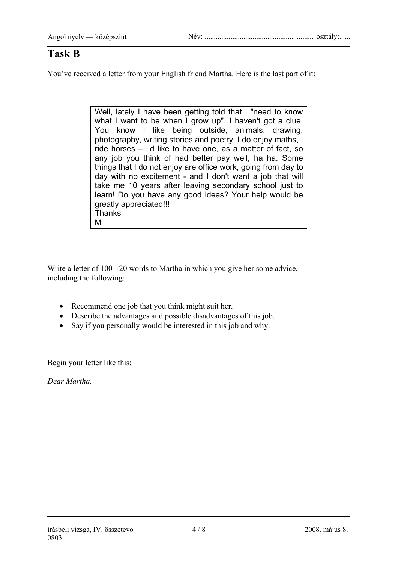## **Task B**

You've received a letter from your English friend Martha. Here is the last part of it:

Well, lately I have been getting told that I "need to know what I want to be when I grow up". I haven't got a clue. You know I like being outside, animals, drawing, photography, writing stories and poetry, I do enjoy maths, I ride horses – I'd like to have one, as a matter of fact, so any job you think of had better pay well, ha ha. Some things that I do not enjoy are office work, going from day to day with no excitement - and I don't want a job that will take me 10 years after leaving secondary school just to learn! Do you have any good ideas? Your help would be greatly appreciated!!! **Thanks** M

Write a letter of 100-120 words to Martha in which you give her some advice, including the following:

- Recommend one job that you think might suit her.
- Describe the advantages and possible disadvantages of this job.
- Say if you personally would be interested in this job and why.

Begin your letter like this:

*Dear Martha,*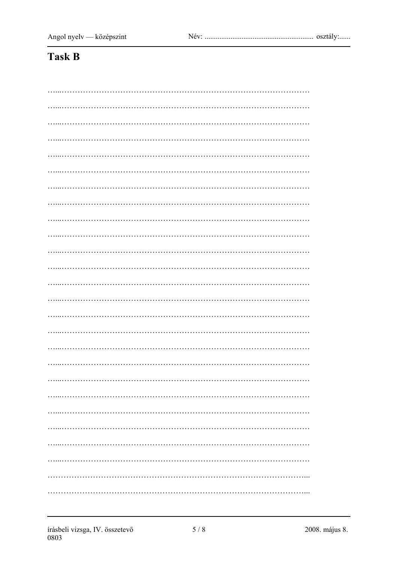## Task B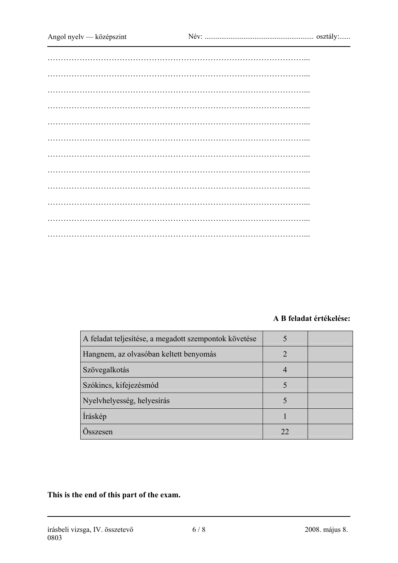## **A B feladat értékelése:**

| A feladat teljesítése, a megadott szempontok követése |    |  |
|-------------------------------------------------------|----|--|
| Hangnem, az olvasóban keltett benyomás                |    |  |
| Szövegalkotás                                         |    |  |
| Szókincs, kifejezésmód                                |    |  |
| Nyelvhelyesség, helyesírás                            |    |  |
| Íráskép                                               |    |  |
| Osszesen                                              | 22 |  |

**This is the end of this part of the exam.**